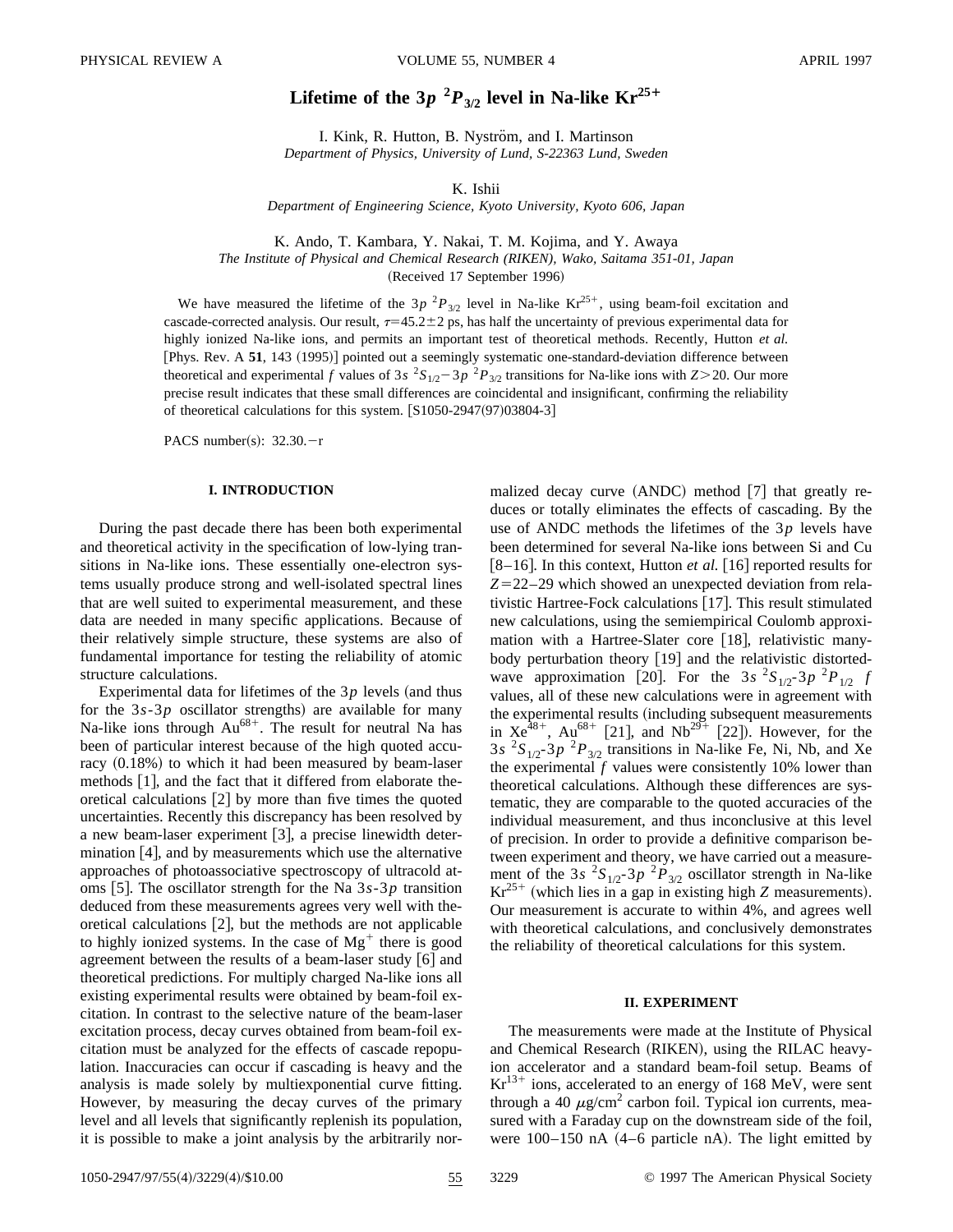# Lifetime of the  $3p^{2}P_{3/2}$  level in Na-like Kr<sup>25+</sup>

I. Kink, R. Hutton, B. Nyström, and I. Martinson *Department of Physics, University of Lund, S-22363 Lund, Sweden*

K. Ishii

*Department of Engineering Science, Kyoto University, Kyoto 606, Japan*

K. Ando, T. Kambara, Y. Nakai, T. M. Kojima, and Y. Awaya

*The Institute of Physical and Chemical Research (RIKEN), Wako, Saitama 351-01, Japan*

(Received 17 September 1996)

We have measured the lifetime of the  $3p^{2}P_{3/2}$  level in Na-like Kr<sup>25+</sup>, using beam-foil excitation and cascade-corrected analysis. Our result,  $\tau=45.2\pm2$  ps, has half the uncertainty of previous experimental data for highly ionized Na-like ions, and permits an important test of theoretical methods. Recently, Hutton *et al.* [Phys. Rev. A 51, 143 (1995)] pointed out a seemingly systematic one-standard-deviation difference between theoretical and experimental *f* values of 3*s*  ${}^{2}S_{1/2}$  – 3*p*  ${}^{2}P_{3/2}$  transitions for Na-like ions with *Z*>20. Our more precise result indicates that these small differences are coincidental and insignificant, confirming the reliability of theoretical calculations for this system.  $[$1050-2947(97)03804-3]$ 

PACS number(s):  $32.30 - r$ 

## **I. INTRODUCTION**

During the past decade there has been both experimental and theoretical activity in the specification of low-lying transitions in Na-like ions. These essentially one-electron systems usually produce strong and well-isolated spectral lines that are well suited to experimental measurement, and these data are needed in many specific applications. Because of their relatively simple structure, these systems are also of fundamental importance for testing the reliability of atomic structure calculations.

Experimental data for lifetimes of the  $3p$  levels (and thus for the  $3s-3p$  oscillator strengths) are available for many Na-like ions through  $Au^{68+}$ . The result for neutral Na has been of particular interest because of the high quoted accuracy  $(0.18\%)$  to which it had been measured by beam-laser methods  $[1]$ , and the fact that it differed from elaborate theoretical calculations  $|2|$  by more than five times the quoted uncertainties. Recently this discrepancy has been resolved by a new beam-laser experiment  $[3]$ , a precise linewidth determination  $[4]$ , and by measurements which use the alternative approaches of photoassociative spectroscopy of ultracold atoms [5]. The oscillator strength for the Na  $3s-3p$  transition deduced from these measurements agrees very well with theoretical calculations  $[2]$ , but the methods are not applicable to highly ionized systems. In the case of  $Mg^+$  there is good agreement between the results of a beam-laser study  $[6]$  and theoretical predictions. For multiply charged Na-like ions all existing experimental results were obtained by beam-foil excitation. In contrast to the selective nature of the beam-laser excitation process, decay curves obtained from beam-foil excitation must be analyzed for the effects of cascade repopulation. Inaccuracies can occur if cascading is heavy and the analysis is made solely by multiexponential curve fitting. However, by measuring the decay curves of the primary level and all levels that significantly replenish its population, it is possible to make a joint analysis by the arbitrarily normalized decay curve  $(ANDC)$  method  $[7]$  that greatly reduces or totally eliminates the effects of cascading. By the use of ANDC methods the lifetimes of the 3*p* levels have been determined for several Na-like ions between Si and Cu  $[8-16]$ . In this context, Hutton *et al.* [16] reported results for *Z*=22–29 which showed an unexpected deviation from relativistic Hartree-Fock calculations  $[17]$ . This result stimulated new calculations, using the semiempirical Coulomb approximation with a Hartree-Slater core  $[18]$ , relativistic manybody perturbation theory [19] and the relativistic distortedwave approximation [20]. For the 3*s*  ${}^{2}S_{1/2}$ -3*p*  ${}^{2}P_{1/2}$  *f* values, all of these new calculations were in agreement with the experimental results (including subsequent measurements in  $Xe^{48+}$ , Au<sup>68+</sup> [21], and Nb<sup>29+</sup> [22]). However, for the  $3s$  <sup>2</sup>S<sub>1/2</sub>-3p<sup>2</sup>P<sub>3/2</sub> transitions in Na-like Fe, Ni, Nb, and Xe the experimental *f* values were consistently 10% lower than theoretical calculations. Although these differences are systematic, they are comparable to the quoted accuracies of the individual measurement, and thus inconclusive at this level of precision. In order to provide a definitive comparison between experiment and theory, we have carried out a measurement of the 3*s*  ${}^{2}S_{1/2}$ -3*p*  ${}^{2}P_{3/2}$  oscillator strength in Na-like  $Kr^{25+}$  (which lies in a gap in existing high *Z* measurements). Our measurement is accurate to within 4%, and agrees well with theoretical calculations, and conclusively demonstrates the reliability of theoretical calculations for this system.

## **II. EXPERIMENT**

The measurements were made at the Institute of Physical and Chemical Research (RIKEN), using the RILAC heavyion accelerator and a standard beam-foil setup. Beams of  $Kr^{13+}$  ions, accelerated to an energy of 168 MeV, were sent through a 40  $\mu$ g/cm<sup>2</sup> carbon foil. Typical ion currents, measured with a Faraday cup on the downstream side of the foil, were  $100-150$  nA  $(4-6$  particle nA). The light emitted by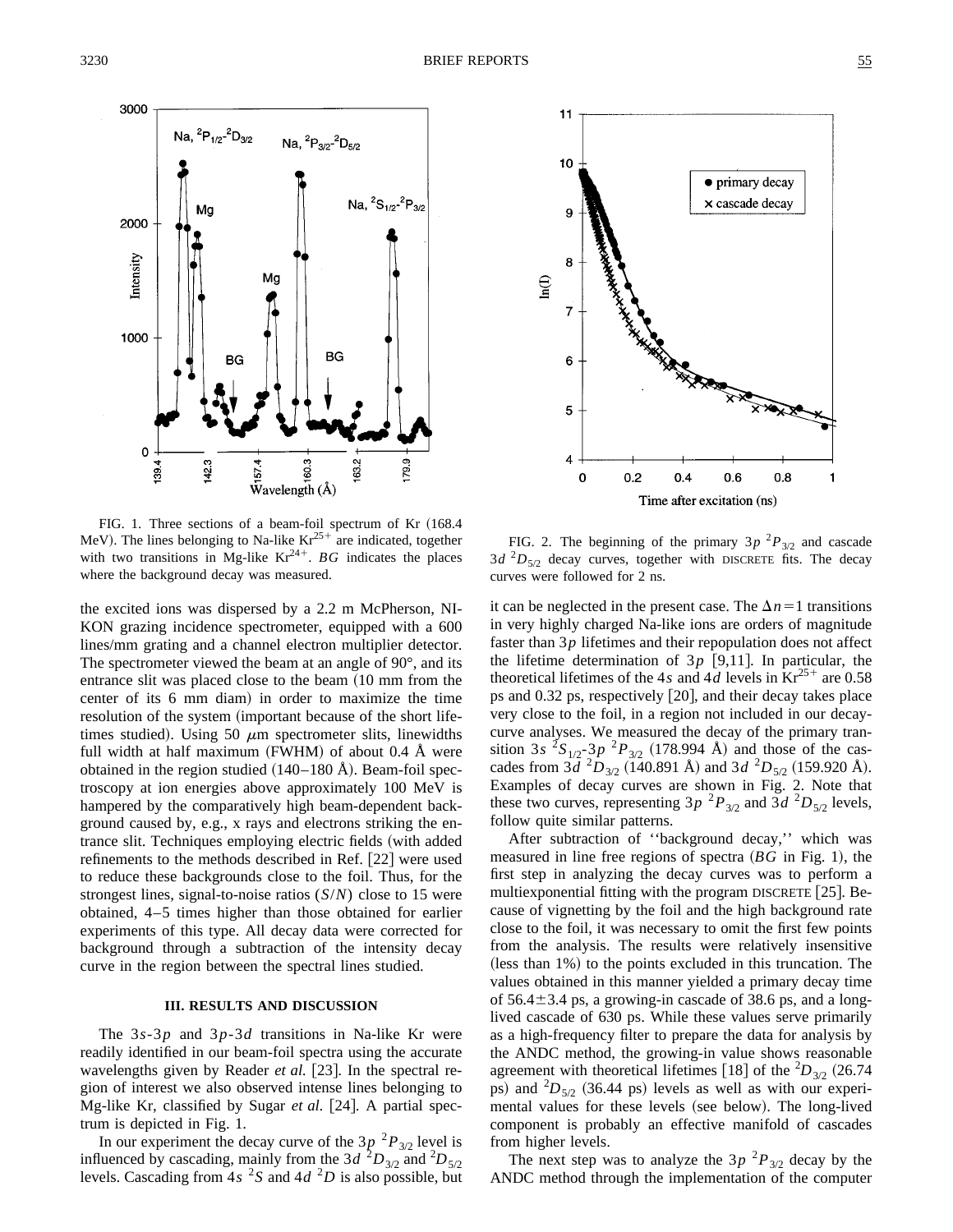

FIG. 1. Three sections of a beam-foil spectrum of Kr (168.4 MeV). The lines belonging to Na-like  $Kr^{25+}$  are indicated, together with two transitions in Mg-like  $Kr^{24+}$ . *BG* indicates the places where the background decay was measured.

the excited ions was dispersed by a 2.2 m McPherson, NI-KON grazing incidence spectrometer, equipped with a 600 lines/mm grating and a channel electron multiplier detector. The spectrometer viewed the beam at an angle of 90°, and its entrance slit was placed close to the beam  $(10 \text{ mm from the}$ center of its 6 mm diam) in order to maximize the time resolution of the system (important because of the short lifetimes studied). Using 50  $\mu$ m spectrometer slits, linewidths full width at half maximum  $(FWHM)$  of about 0.4 Å were obtained in the region studied  $(140–180 \text{ Å})$ . Beam-foil spectroscopy at ion energies above approximately 100 MeV is hampered by the comparatively high beam-dependent background caused by, e.g., x rays and electrons striking the entrance slit. Techniques employing electric fields (with added refinements to the methods described in Ref.  $[22]$  were used to reduce these backgrounds close to the foil. Thus, for the strongest lines, signal-to-noise ratios (*S*/*N*) close to 15 were obtained, 4–5 times higher than those obtained for earlier experiments of this type. All decay data were corrected for background through a subtraction of the intensity decay curve in the region between the spectral lines studied.

### **III. RESULTS AND DISCUSSION**

The 3*s*-3*p* and 3*p*-3*d* transitions in Na-like Kr were readily identified in our beam-foil spectra using the accurate wavelengths given by Reader *et al.* [23]. In the spectral region of interest we also observed intense lines belonging to Mg-like Kr, classified by Sugar *et al.* [24]. A partial spectrum is depicted in Fig. 1.

In our experiment the decay curve of the  $3p^{2}P_{3/2}$  level is influenced by cascading, mainly from the 3*d*  ${}^{2}D_{3/2}$  and  ${}^{2}D_{5/2}$ levels. Cascading from  $4s<sup>2</sup>S$  and  $4d<sup>2</sup>D$  is also possible, but



FIG. 2. The beginning of the primary  $3p^{2}P_{3/2}$  and cascade  $3d^{2}D_{5/2}$  decay curves, together with DISCRETE fits. The decay curves were followed for 2 ns.

it can be neglected in the present case. The  $\Delta n=1$  transitions in very highly charged Na-like ions are orders of magnitude faster than 3*p* lifetimes and their repopulation does not affect the lifetime determination of  $3p$  [9,11]. In particular, the theoretical lifetimes of the 4*s* and 4*d* levels in  $Kr^{25+}$  are 0.58 ps and  $0.32$  ps, respectively  $[20]$ , and their decay takes place very close to the foil, in a region not included in our decaycurve analyses. We measured the decay of the primary transition 3*s*  ${}^{2}S_{1/2}$   ${}^{3}P$   ${}^{2}P_{3/2}$  (178.994 Å) and those of the cascades from  $3\bar{d}^2 D_{3/2}$  (140.891 Å) and  $3d^2 D_{5/2}$  (159.920 Å). Examples of decay curves are shown in Fig. 2. Note that these two curves, representing  $3p^{2}P_{3/2}$  and  $3d^{2}D_{5/2}$  levels, follow quite similar patterns.

After subtraction of ''background decay,'' which was measured in line free regions of spectra  $(BG$  in Fig. 1), the first step in analyzing the decay curves was to perform a multiexponential fitting with the program DISCRETE  $[25]$ . Because of vignetting by the foil and the high background rate close to the foil, it was necessary to omit the first few points from the analysis. The results were relatively insensitive  $($ less than  $1\%)$  to the points excluded in this truncation. The values obtained in this manner yielded a primary decay time of  $56.4 \pm 3.4$  ps, a growing-in cascade of 38.6 ps, and a longlived cascade of 630 ps. While these values serve primarily as a high-frequency filter to prepare the data for analysis by the ANDC method, the growing-in value shows reasonable agreement with theoretical lifetimes [18] of the  ${}^{2}D_{3/2}$  (26.74) ps) and  ${}^{2}D_{5/2}$  (36.44 ps) levels as well as with our experimental values for these levels (see below). The long-lived component is probably an effective manifold of cascades from higher levels.

The next step was to analyze the  $3p^{2}P_{3/2}$  decay by the ANDC method through the implementation of the computer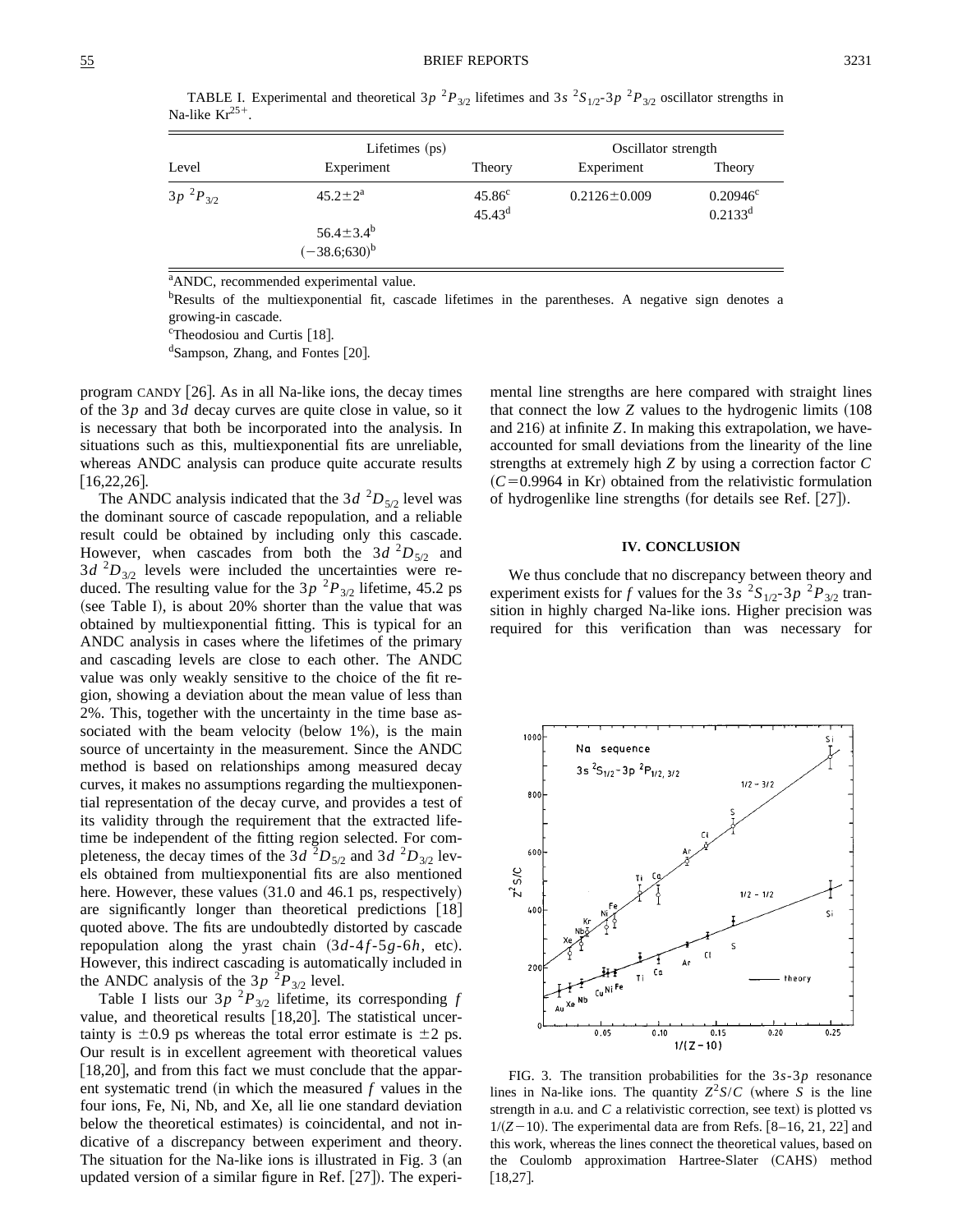TABLE I. Experimental and theoretical 3*p*  ${}^{2}P_{3/2}$  lifetimes and 3*s*  ${}^{2}S_{1/2}$ -3*p*  ${}^{2}P_{3/2}$  oscillator strengths in Na-like  $Kr^{25+}$ .

| Level           | Lifetimes (ps)                        |                                | Oscillator strength |                                            |
|-----------------|---------------------------------------|--------------------------------|---------------------|--------------------------------------------|
|                 | Experiment                            | Theory                         | Experiment          | Theory                                     |
| $3p^{2}P_{3/2}$ | $45.2 \pm 2^a$                        | $45.86^{\circ}$<br>$45.43^{d}$ | $0.2126 \pm 0.009$  | $0.20946^{\circ}$<br>$0.2133$ <sup>d</sup> |
|                 | $56.4 \pm 3.4^b$<br>$(-38.6;630)^{b}$ |                                |                     |                                            |

<sup>a</sup>ANDC, recommended experimental value.

<sup>b</sup>Results of the multiexponential fit, cascade lifetimes in the parentheses. A negative sign denotes a growing-in cascade.

<sup>c</sup>Theodosiou and Curtis [18].

<sup>d</sup>Sampson, Zhang, and Fontes [20].

program CANDY  $[26]$ . As in all Na-like ions, the decay times of the 3*p* and 3*d* decay curves are quite close in value, so it is necessary that both be incorporated into the analysis. In situations such as this, multiexponential fits are unreliable, whereas ANDC analysis can produce quite accurate results  $[16, 22, 26]$ .

The ANDC analysis indicated that the  $3d^{2}D_{5/2}$  level was the dominant source of cascade repopulation, and a reliable result could be obtained by including only this cascade. However, when cascades from both the  $3d^{2}D_{5/2}$  and  $3d^{2}D_{3/2}$  levels were included the uncertainties were reduced. The resulting value for the  $3p^{2}P_{3/2}$  lifetime, 45.2 ps (see Table I), is about  $20\%$  shorter than the value that was obtained by multiexponential fitting. This is typical for an ANDC analysis in cases where the lifetimes of the primary and cascading levels are close to each other. The ANDC value was only weakly sensitive to the choice of the fit region, showing a deviation about the mean value of less than 2%. This, together with the uncertainty in the time base associated with the beam velocity (below  $1\%$ ), is the main source of uncertainty in the measurement. Since the ANDC method is based on relationships among measured decay curves, it makes no assumptions regarding the multiexponential representation of the decay curve, and provides a test of its validity through the requirement that the extracted lifetime be independent of the fitting region selected. For completeness, the decay times of the  $3d^{2}D_{5/2}$  and  $3d^{2}D_{3/2}$  levels obtained from multiexponential fits are also mentioned here. However, these values  $(31.0 \text{ and } 46.1 \text{ ps}, \text{respectively})$ are significantly longer than theoretical predictions  $[18]$ quoted above. The fits are undoubtedly distorted by cascade repopulation along the yrast chain  $(3d-4f-5g-6h,$  etc). However, this indirect cascading is automatically included in the ANDC analysis of the  $3p^{2}P_{3/2}$  level.

Table I lists our  $3p^{2}P_{3/2}$  lifetime, its corresponding *f* value, and theoretical results  $[18,20]$ . The statistical uncertainty is  $\pm 0.9$  ps whereas the total error estimate is  $\pm 2$  ps. Our result is in excellent agreement with theoretical values  $[18,20]$ , and from this fact we must conclude that the apparent systematic trend  $(in$  which the measured  $f$  values in the four ions, Fe, Ni, Nb, and Xe, all lie one standard deviation below the theoretical estimates) is coincidental, and not indicative of a discrepancy between experiment and theory. The situation for the Na-like ions is illustrated in Fig.  $3$  (an updated version of a similar figure in Ref.  $[27]$ . The experimental line strengths are here compared with straight lines that connect the low  $Z$  values to the hydrogenic limits  $(108$ and 216) at infinite *Z*. In making this extrapolation, we haveaccounted for small deviations from the linearity of the line strengths at extremely high *Z* by using a correction factor *C*  $(C=0.9964$  in Kr) obtained from the relativistic formulation of hydrogenlike line strengths (for details see Ref.  $[27]$ ).

### **IV. CONCLUSION**

We thus conclude that no discrepancy between theory and experiment exists for *f* values for the 3*s*  ${}^{2}S_{1/2}$ -3*p*  ${}^{2}P_{3/2}$  transition in highly charged Na-like ions. Higher precision was required for this verification than was necessary for



FIG. 3. The transition probabilities for the 3*s*-3*p* resonance lines in Na-like ions. The quantity  $Z^2S/C$  (where *S* is the line strength in a.u. and  $C$  a relativistic correction, see text) is plotted vs  $1/(Z-10)$ . The experimental data are from Refs. [8-16, 21, 22] and this work, whereas the lines connect the theoretical values, based on the Coulomb approximation Hartree-Slater (CAHS) method  $[18,27]$ .